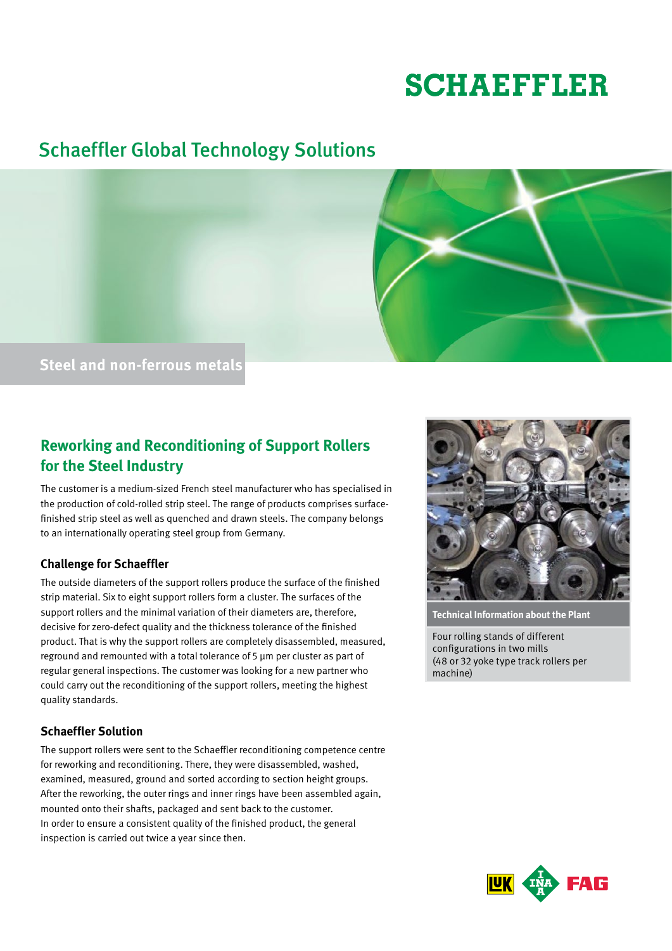# **SCHAEFFLER**

# Schaeffler Global Technology Solutions



# **Reworking and Reconditioning of Support Rollers for the Steel Industry**

The customer is a medium-sized French steel manufacturer who has specialised in the production of cold-rolled strip steel. The range of products comprises surfacefinished strip steel as well as quenched and drawn steels. The company belongs to an internationally operating steel group from Germany.

## **Challenge for Schaeffler**

The outside diameters of the support rollers produce the surface of the finished strip material. Six to eight support rollers form a cluster. The surfaces of the support rollers and the minimal variation of their diameters are, therefore, decisive for zero-defect quality and the thickness tolerance of the finished product. That is why the support rollers are completely disassembled, measured, reground and remounted with a total tolerance of 5 μm per cluster as part of regular general inspections. The customer was looking for a new partner who could carry out the reconditioning of the support rollers, meeting the highest quality standards.

## **Schaeffler Solution**

The support rollers were sent to the Schaeffler reconditioning competence centre for reworking and reconditioning. There, they were disassembled, washed, examined, measured, ground and sorted according to section height groups. After the reworking, the outer rings and inner rings have been assembled again, mounted onto their shafts, packaged and sent back to the customer. In order to ensure a consistent quality of the finished product, the general inspection is carried out twice a year since then.



**Technical Information about the Plant**

Four rolling stands of different configurations in two mills (48 or 32 yoke type track rollers per machine)